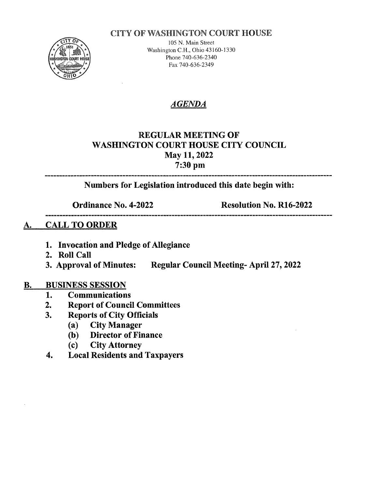#### CITY OF WASHINGTON COURT HOUSE



105 N. Main Street Washington C.H., Ohio 43160-1330 Phone 740-636-2340 Fax 740-636-2349

## AGENDA

# REGULAR MEETING OF WASHINGTON COURT HOUSE CITY COUNCIL **DURT HOUS<br>May 11, 2022** y 11, 20<br>7:30 pm

Numbers for Legislation introduced this date begin with:

n Bin Daaramoi Baimainin dan Baaramaan Banna ann Birann Bilannia ann Biran Biran Biran Banna Banna Bannin Ain

Ordinance No. 4-2022 Resolution No. R16-2022

#### TALL TO ORDER A.

- 1. Invocation and Pledge of Allegiance
- 
- 2. Roll Call<br>3. Approval of Minutes: Regular Council Meeting-April 27, 2022

#### **BUSINESS SESSION**<br>1. **Communication B.**

- 1. Communications<br>2. Report of Counci
- 2. Report of Council Committees<br>3. Reports of City Officials
- Reports of City Officials
	- (a) City Manager
	- **Director of Finance**
	- (c) CityAttorney
- 4. Local Residents and Taxpayers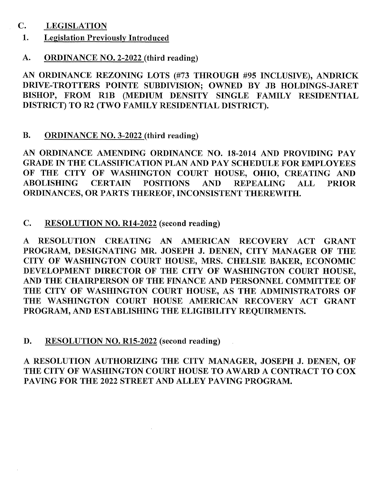#### C. LEGISLATION

1. Legislation Previously Introduced

#### A. ORDINANCE NO. 2-2022 (third reading)

A. <u>ORDINANCE NO. 2-2022</u> (third reading)<br>AN ORDINANCE REZONING LOTS (#73 THROUGH #95 INCLUSIVE), ANDRICK AN ORDINANCE REZONING LOTS (#73 THROUGH #95 INCLUSIVE), ANDRICK<br>DRIVE-TROTTERS POINTE SUBDIVISION; OWNED BY JB HOLDINGS-JARET DRIVE-TROTTERS POINTE SUBDIVISION; OWNED BY JB HOLDINGS-JARET BISHOP, FROM R1B (MEDIUM DENSITY SINGLE FAMILY RESIDENTIAL DISTRICT). BISHOP, FROM R1B (MEDIUM DENSITY SINGLE FAMILY RESIDENTIAL

### B. ORDINANCE NO. 3-2022 (third reading)

B. SKOTIKING INO. 5-2022 (thing reading)<br>AN ORDINANCE AMENDING ORDINANCE NO. 18-2014 AND PROVIDING PAY AN ORDINANCE AMENDING ORDINANCE NO. 18-2014 AND PROVIDING PAY<br>GRADE IN THE CLASSIFICATION PLAN AND PAY SCHEDULE FOR EMPLOYEES GRADE IN THE CLASSIFICATION PLAN AND PAY SCHEDULE FOR EMPLOYEES<br>OF THE CITY OF WASHINGTON COURT HOUSE, OHIO, CREATING AND OF THE CITY OF WASHINGTON COURT HOUSE, OHIO, CREATING AND ABOLISHING CERTAIN POSITIONS AND REPEALING ALL PRIOR ABOLISHING CERTAIN POSITIONS AND REPEALING ALL<br>ORDINANCES, OR PARTS THEREOF, INCONSISTENT THEREWITH.

### C. RESOLUTION NO. R14-2022 (second reading)

RESOLUTION CREATING AN AMERICAN RECOVERY ACT GRANT A RESOLUTION CREATING AN AMERICAN RECOVERY ACT GRANT<br>PROGRAM, DESIGNATING MR. JOSEPH J. DENEN, CITY MANAGER OF THE CITY OF WASHINGTON COURT HOUSE, MRS. CHELSIE BAKER, ECONOMIC CITY OF WASHINGTON COURT HOUSE, MRS. CHELSIE BAKER, ECONOMIC<br>DEVELOPMENT DIRECTOR OF THE CITY OF WASHINGTON COURT HOUSE, DEVELOPMENT DIRECTOR OF THE CITY OF WASHINGTON COURT HOUSE,<br>AND THE CHAIRPERSON OF THE FINANCE AND PERSONNEL COMMITTEE OF AND THE CHAIRPERSON OF THE FINANCE AND PERSONNEL COMMITTEE OF THE CITY OF WASHINGTON COURT HOUSE, AS THE ADMINISTRATORS OF THE WASHINGTON COURT HOUSE AMERICAN RECOVERY ACT GRANT PROGRAM, AND ESTABLISHING THE ELIGIBILITY REOUIRMENTS. THE WASHINGTON COURT HOUSE AMERICAN RECOVERY ACT GRANT

### D. RESOLUTION NO. R15-2022 (second reading)

RESOLUTION AUTHORIZING THE CITY MANAGER, JOSEPH J. DENEN, OF A RESOLUTION AUTHORIZING THE CITY MANAGER, JOSEPH J. DENEN, OF<br>THE CITY OF WASHINGTON COURT HOUSE TO AWARD A CONTRACT TO COX THE CITY OF WASHINGTON COURT HOUSE TO AWARD A CONTRACT TO COX<br>PAVING FOR THE 2022 STREET AND ALLEY PAVING PROGRAM.